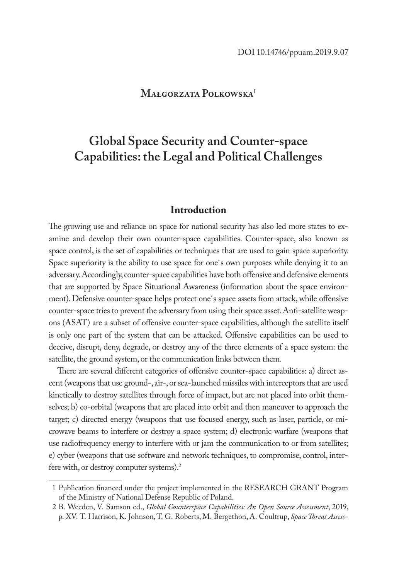## **Małgorzata Polkowska1**

# **Global Space Security and Counter-space Capabilities: the Legal and Political Challenges**

## **Introduction**

The growing use and reliance on space for national security has also led more states to examine and develop their own counter-space capabilities. Counter-space, also known as space control, is the set of capabilities or techniques that are used to gain space superiority. Space superiority is the ability to use space for one`s own purposes while denying it to an adversary. Accordingly, counter-space capabilities have both offensive and defensive elements that are supported by Space Situational Awareness (information about the space environment). Defensive counter-space helps protect one`s space assets from attack, while offensive counter-space tries to prevent the adversary from using their space asset. Anti-satellite weapons (ASAT) are a subset of offensive counter-space capabilities, although the satellite itself is only one part of the system that can be attacked. Offensive capabilities can be used to deceive, disrupt, deny, degrade, or destroy any of the three elements of a space system: the satellite, the ground system, or the communication links between them.

There are several different categories of offensive counter-space capabilities: a) direct ascent (weapons that use ground-, air-, or sea-launched missiles with interceptors that are used kinetically to destroy satellites through force of impact, but are not placed into orbit themselves; b) co-orbital (weapons that are placed into orbit and then maneuver to approach the target; c) directed energy (weapons that use focused energy, such as laser, particle, or microwave beams to interfere or destroy a space system; d) electronic warfare (weapons that use radiofrequency energy to interfere with or jam the communication to or from satellites; e) cyber (weapons that use software and network techniques, to compromise, control, interfere with, or destroy computer systems).<sup>2</sup>

<sup>1</sup> Publication financed under the project implemented in the RESEARCH GRANT Program of the Ministry of National Defense Republic of Poland.

<sup>2</sup> B. Weeden, V. Samson ed., *Global Counterspace Capabilities: An Open Source Assessment*, 2019, p. XV. T. Harrison, K. Johnson, T. G. Roberts, M. Bergethon, A. Coultrup, *Space Threat Assess-*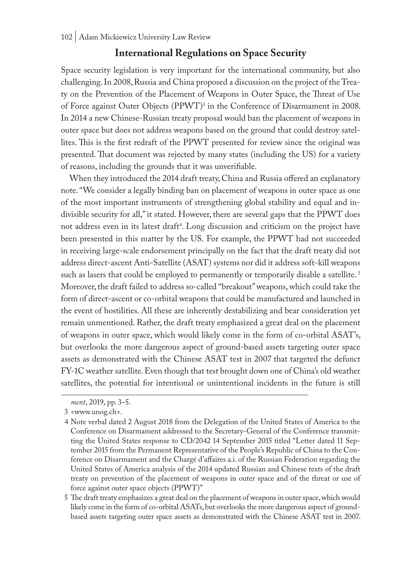# **International Regulations on Space Security**

Space security legislation is very important for the international community, but also challenging. In 2008, Russia and China proposed a discussion on the project of the Treaty on the Prevention of the Placement of Weapons in Outer Space, the Threat of Use of Force against Outer Objects (PPWT)<sup>3</sup> in the Conference of Disarmament in 2008. In 2014 a new Chinese-Russian treaty proposal would ban the placement of weapons in outer space but does not address weapons based on the ground that could destroy satellites. This is the first redraft of the PPWT presented for review since the original was presented. That document was rejected by many states (including the US) for a variety of reasons, including the grounds that it was unverifiable.

When they introduced the 2014 draft treaty, China and Russia offered an explanatory note. "We consider a legally binding ban on placement of weapons in outer space as one of the most important instruments of strengthening global stability and equal and indivisible security for all," it stated. However, there are several gaps that the PPWT does not address even in its latest draft<sup>4</sup>. Long discussion and criticism on the project have been presented in this matter by the US. For example, the PPWT had not succeeded in receiving large-scale endorsement principally on the fact that the draft treaty did not address direct-ascent Anti-Satellite (ASAT) systems nor did it address soft-kill weapons such as lasers that could be employed to permanently or temporarily disable a satellite.<sup>5</sup> Moreover, the draft failed to address so-called "breakout" weapons, which could take the form of direct-ascent or co-orbital weapons that could be manufactured and launched in the event of hostilities. All these are inherently destabilizing and bear consideration yet remain unmentioned. Rather, the draft treaty emphasized a great deal on the placement of weapons in outer space, which would likely come in the form of co-orbital ASAT's, but overlooks the more dangerous aspect of ground-based assets targeting outer space assets as demonstrated with the Chinese ASAT test in 2007 that targeted the defunct FY-1C weather satellite. Even though that test brought down one of China's old weather satellites, the potential for intentional or unintentional incidents in the future is still

*ment*, 2019, pp. 3–5.

<sup>3</sup> <www.unog.ch>.

<sup>4</sup> Note verbal dated 2 August 2018 from the Delegation of the United States of America to the Conference on Disarmament addressed to the Secretary-General of the Conference transmitting the United States response to CD/2042 14 September 2015 titled "Letter dated 11 September 2015 from the Permanent Representative of the People's Republic of China to the Conference on Disarmament and the Chargé d'affaires a.i. of the Russian Federation regarding the United States of America analysis of the 2014 updated Russian and Chinese texts of the draft treaty on prevention of the placement of weapons in outer space and of the threat or use of force against outer space objects (PPWT)"

<sup>5</sup> The draft treaty emphasizes a great deal on the placement of weapons in outer space, which would likely come in the form of co-orbital ASATs, but overlooks the more dangerous aspect of groundbased assets targeting outer space assets as demonstrated with the Chinese ASAT test in 2007.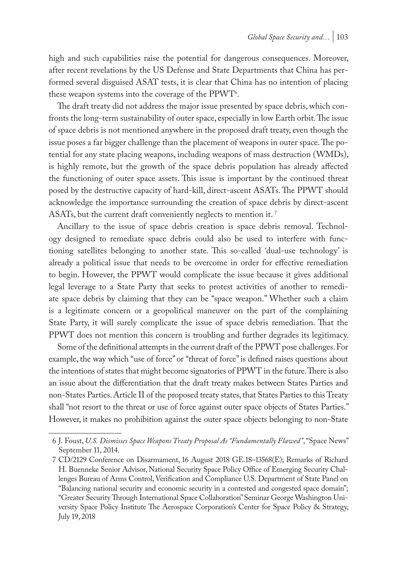high and such capabilities raise the potential for dangerous consequences. Moreover, after recent revelations by the US Defense and State Departments that China has performed several disguised ASAT tests, it is clear that China has no intention of placing these weapon systems into the coverage of the PPWT<sup>6</sup>.

The draft treaty did not address the major issue presented by space debris, which confronts the long-term sustainability of outer space, especially in low Earth orbit. The issue of space debris is not mentioned anywhere in the proposed draft treaty, even though the issue poses a far bigger challenge than the placement of weapons in outer space. The potential for any state placing weapons, including weapons of mass destruction (WMDs), is highly remote, but the growth of the space debris population has already affected the functioning of outer space assets. This issue is important by the continued threat posed by the destructive capacity of hard-kill, direct-ascent ASATs. The PPWT should acknowledge the importance surrounding the creation of space debris by direct-ascent ASATs, but the current draft conveniently neglects to mention it.<sup>7</sup>

Ancillary to the issue of space debris creation is space debris removal. Technology designed to remediate space debris could also be used to interfere with functioning satellites belonging to another state. This so-called 'dual-use technology' is already a political issue that needs to be overcome in order for effective remediation to begin. However, the PPWT would complicate the issue because it gives additional legal leverage to a State Party that seeks to protest activities of another to remediate space debris by claiming that they can be "space weapon." Whether such a claim is a legitimate concern or a geopolitical maneuver on the part of the complaining State Party, it will surely complicate the issue of space debris remediation. That the PPWT does not mention this concern is troubling and further degrades its legitimacy.

Some of the definitional attempts in the current draft of the PPWT pose challenges. For example, the way which "use of force" or "threat of force" is defined raises questions about the intentions of states that might become signatories of PPWT in the future. There is also an issue about the differentiation that the draft treaty makes between States Parties and non-States Parties. Article II of the proposed treaty states, that States Parties to this Treaty shall "not resort to the threat or use of force against outer space objects of States Parties." However, it makes no prohibition against the outer space objects belonging to non-State

<sup>6</sup> J. Foust, *U.S. Dismisses Space Weapons Treaty Proposal As "Fundamentally Flawed"*, "Space News" September 11, 2014.

<sup>7</sup> CD/2129 Conference on Disarmament, 16 August 2018 GE.18–13568(E); Remarks of Richard H. Buenneke Senior Advisor, National Security Space Policy Office of Emerging Security Challenges Bureau of Arms Control, Verification and Compliance U.S. Department of State Panel on "Balancing national security and economic security in a contested and congested space domain"; "Greater Security Through International Space Collaboration" Seminar George Washington University Space Policy Institute The Aerospace Corporation's Center for Space Policy & Strategy, July 19, 2018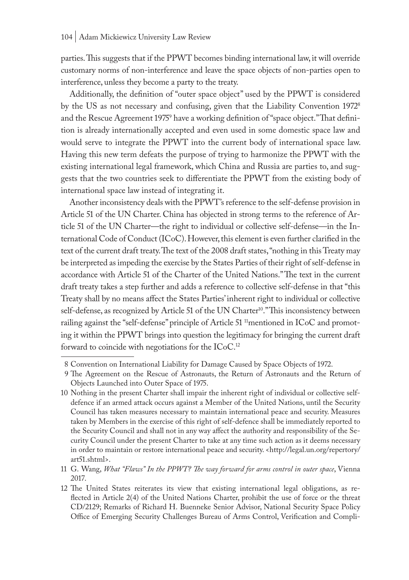parties. This suggests that if the PPWT becomes binding international law, it will override customary norms of non-interference and leave the space objects of non-parties open to interference, unless they become a party to the treaty.

Additionally, the definition of "outer space object" used by the PPWT is considered by the US as not necessary and confusing, given that the Liability Convention 19728 and the Rescue Agreement 1975' have a working definition of "space object." Ihat definition is already internationally accepted and even used in some domestic space law and would serve to integrate the PPWT into the current body of international space law. Having this new term defeats the purpose of trying to harmonize the PPWT with the existing international legal framework, which China and Russia are parties to, and suggests that the two countries seek to differentiate the PPWT from the existing body of international space law instead of integrating it.

Another inconsistency deals with the PPWT's reference to the self-defense provision in Article 51 of the UN Charter. China has objected in strong terms to the reference of Article 51 of the UN Charter—the right to individual or collective self-defense—in the International Code of Conduct (ICoC). However, this element is even further clarified in the text of the current draft treaty. The text of the 2008 draft states, "nothing in this Treaty may be interpreted as impeding the exercise by the States Parties of their right of self-defense in accordance with Article 51 of the Charter of the United Nations." The text in the current draft treaty takes a step further and adds a reference to collective self-defense in that "this Treaty shall by no means affect the States Parties' inherent right to individual or collective self-defense, as recognized by Article 51 of the UN Charter<sup>10</sup>." This inconsistency between railing against the "self-defense" principle of Article 51 <sup>11</sup>mentioned in ICoC and promoting it within the PPWT brings into question the legitimacy for bringing the current draft forward to coincide with negotiations for the ICoC.12

<sup>8</sup> Convention on International Liability for Damage Caused by Space Objects of 1972.

<sup>9</sup> The Agreement on the Rescue of Astronauts, the Return of Astronauts and the Return of Objects Launched into Outer Space of 1975.

<sup>10</sup> Nothing in the present Charter shall impair the inherent right of individual or collective selfdefence if an armed attack occurs against a Member of the United Nations, until the Security Council has taken measures necessary to maintain international peace and security. Measures taken by Members in the exercise of this right of self-defence shall be immediately reported to the Security Council and shall not in any way affect the authority and responsibility of the Security Council under the present Charter to take at any time such action as it deems necessary in order to maintain or restore international peace and security. <http://legal.un.org/repertory/ art51.shtml>.

<sup>11</sup> G. Wang, *What "Flaws" In the PPWT? The way forward for arms control in outer space*, Vienna 2017.

<sup>12</sup> The United States reiterates its view that existing international legal obligations, as reflected in Article 2(4) of the United Nations Charter, prohibit the use of force or the threat CD/2129; Remarks of Richard H. Buenneke Senior Advisor, National Security Space Policy Office of Emerging Security Challenges Bureau of Arms Control, Verification and Compli-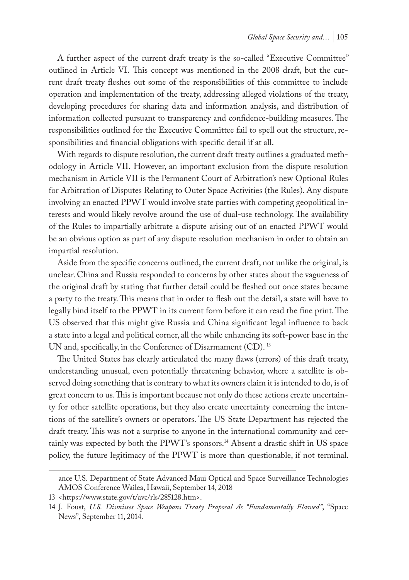A further aspect of the current draft treaty is the so-called "Executive Committee" outlined in Article VI. This concept was mentioned in the 2008 draft, but the current draft treaty fleshes out some of the responsibilities of this committee to include operation and implementation of the treaty, addressing alleged violations of the treaty, developing procedures for sharing data and information analysis, and distribution of information collected pursuant to transparency and confidence-building measures. The responsibilities outlined for the Executive Committee fail to spell out the structure, responsibilities and financial obligations with specific detail if at all.

With regards to dispute resolution, the current draft treaty outlines a graduated methodology in Article VII. However, an important exclusion from the dispute resolution mechanism in Article VII is the Permanent Court of Arbitration's new Optional Rules for Arbitration of Disputes Relating to Outer Space Activities (the Rules). Any dispute involving an enacted PPWT would involve state parties with competing geopolitical interests and would likely revolve around the use of dual-use technology. The availability of the Rules to impartially arbitrate a dispute arising out of an enacted PPWT would be an obvious option as part of any dispute resolution mechanism in order to obtain an impartial resolution.

Aside from the specific concerns outlined, the current draft, not unlike the original, is unclear. China and Russia responded to concerns by other states about the vagueness of the original draft by stating that further detail could be fleshed out once states became a party to the treaty. This means that in order to flesh out the detail, a state will have to legally bind itself to the PPWT in its current form before it can read the fine print. The US observed that this might give Russia and China significant legal influence to back a state into a legal and political corner, all the while enhancing its soft-power base in the UN and, specifically, in the Conference of Disarmament (CD).<sup>13</sup>

The United States has clearly articulated the many flaws (errors) of this draft treaty, understanding unusual, even potentially threatening behavior, where a satellite is observed doing something that is contrary to what its owners claim it is intended to do, is of great concern to us. This is important because not only do these actions create uncertainty for other satellite operations, but they also create uncertainty concerning the intentions of the satellite's owners or operators. The US State Department has rejected the draft treaty. This was not a surprise to anyone in the international community and certainly was expected by both the PPWT's sponsors.14 Absent a drastic shift in US space policy, the future legitimacy of the PPWT is more than questionable, if not terminal.

ance U.S. Department of State Advanced Maui Optical and Space Surveillance Technologies AMOS Conference Wailea, Hawaii, September 14, 2018

<sup>13</sup> <https://www.state.gov/t/avc/rls/285128.htm>.

<sup>14</sup> J. Foust, *U.S. Dismisses Space Weapons Treaty Proposal As "Fundamentally Flawed"*, "Space News", September 11, 2014.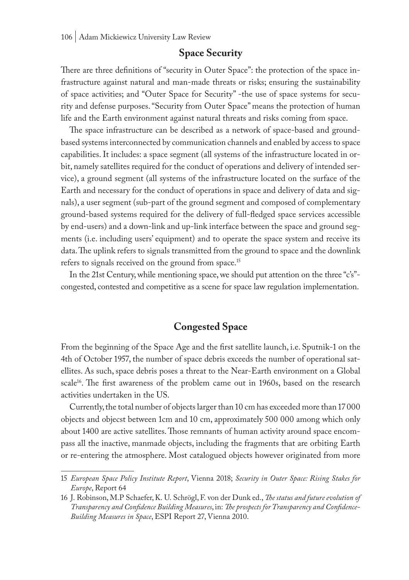## **Space Security**

There are three definitions of "security in Outer Space": the protection of the space infrastructure against natural and man-made threats or risks; ensuring the sustainability of space activities; and "Outer Space for Security" -the use of space systems for security and defense purposes. "Security from Outer Space" means the protection of human life and the Earth environment against natural threats and risks coming from space.

The space infrastructure can be described as a network of space-based and groundbased systems interconnected by communication channels and enabled by access to space capabilities. It includes: a space segment (all systems of the infrastructure located in orbit, namely satellites required for the conduct of operations and delivery of intended service), a ground segment (all systems of the infrastructure located on the surface of the Earth and necessary for the conduct of operations in space and delivery of data and signals), a user segment (sub-part of the ground segment and composed of complementary ground-based systems required for the delivery of full-fledged space services accessible by end-users) and a down-link and up-link interface between the space and ground segments (i.e. including users' equipment) and to operate the space system and receive its data. The uplink refers to signals transmitted from the ground to space and the downlink refers to signals received on the ground from space.<sup>15</sup>

In the 21st Century, while mentioning space, we should put attention on the three "c's" congested, contested and competitive as a scene for space law regulation implementation.

# **Congested Space**

From the beginning of the Space Age and the first satellite launch, i.e. Sputnik-1 on the 4th of October 1957, the number of space debris exceeds the number of operational satellites. As such, space debris poses a threat to the Near-Earth environment on a Global scale<sup>16</sup>. The first awareness of the problem came out in 1960s, based on the research activities undertaken in the US.

Currently, the total number of objects larger than 10 cm has exceeded more than 17 000 objects and objecst between 1cm and 10 cm, approximately 500 000 among which only about 1400 are active satellites. Those remnants of human activity around space encompass all the inactive, manmade objects, including the fragments that are orbiting Earth or re-entering the atmosphere. Most catalogued objects however originated from more

<sup>15</sup> *European Space Policy Institute Report*, Vienna 2018; *Security in Outer Space: Rising Stakes for Europe*, Report 64

<sup>16</sup> J. Robinson, M.P Schaefer, K. U. Schrögl, F. von der Dunk ed., *The status and future evolution of Transparency and Confidence Building Measures*, in: *The prospects for Transparency and Confidence-Building Measures in Space*, ESPI Report 27, Vienna 2010.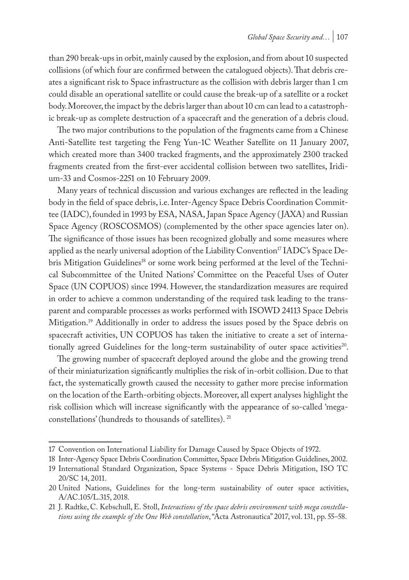than 290 break-ups in orbit, mainly caused by the explosion, and from about 10 suspected collisions (of which four are confirmed between the catalogued objects). That debris creates a significant risk to Space infrastructure as the collision with debris larger than 1 cm could disable an operational satellite or could cause the break-up of a satellite or a rocket body. Moreover, the impact by the debris larger than about 10 cm can lead to a catastrophic break-up as complete destruction of a spacecraft and the generation of a debris cloud.

The two major contributions to the population of the fragments came from a Chinese Anti-Satellite test targeting the Feng Yun-1C Weather Satellite on 11 January 2007, which created more than 3400 tracked fragments, and the approximately 2300 tracked fragments created from the first-ever accidental collision between two satellites, Iridium-33 and Cosmos-2251 on 10 February 2009.

Many years of technical discussion and various exchanges are reflected in the leading body in the field of space debris, i.e. Inter-Agency Space Debris Coordination Committee (IADC), founded in 1993 by ESA, NASA, Japan Space Agency ( JAXA) and Russian Space Agency (ROSCOSMOS) (complemented by the other space agencies later on). The significance of those issues has been recognized globally and some measures where applied as the nearly universal adoption of the Liability Convention<sup>17</sup> IADC's Space Debris Mitigation Guidelines<sup>18</sup> or some work being performed at the level of the Technical Subcommittee of the United Nations' Committee on the Peaceful Uses of Outer Space (UN COPUOS) since 1994. However, the standardization measures are required in order to achieve a common understanding of the required task leading to the transparent and comparable processes as works performed with ISOWD 24113 Space Debris Mitigation.19 Additionally in order to address the issues posed by the Space debris on spacecraft activities, UN COPUOS has taken the initiative to create a set of internationally agreed Guidelines for the long-term sustainability of outer space activities<sup>20</sup>.

The growing number of spacecraft deployed around the globe and the growing trend of their miniaturization significantly multiplies the risk of in-orbit collision. Due to that fact, the systematically growth caused the necessity to gather more precise information on the location of the Earth-orbiting objects. Moreover, all expert analyses highlight the risk collision which will increase significantly with the appearance of so-called 'megaconstellations' (hundreds to thousands of satellites). 21

<sup>17</sup> Convention on International Liability for Damage Caused by Space Objects of 1972.

<sup>18</sup> Inter-Agency Space Debris Coordination Committee, Space Debris Mitigation Guidelines, 2002.

<sup>19</sup> International Standard Organization, Space Systems - Space Debris Mitigation, ISO TC 20/SC 14, 2011.

<sup>20</sup> United Nations, Guidelines for the long-term sustainability of outer space activities, A/AC.105/L.315, 2018.

<sup>21</sup> J. Radtke, C. Kebschull, E. Stoll, *Interactions of the space debris environment with mega constellations using the example of the One Web constellation*, "Acta Astronautica" 2017, vol. 131, pp. 55–58.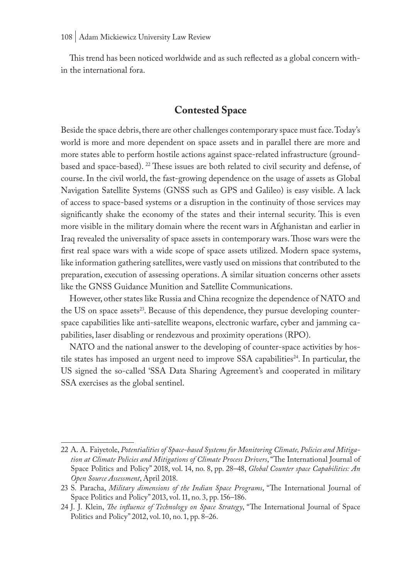This trend has been noticed worldwide and as such reflected as a global concern within the international fora.

# **Contested Space**

Beside the space debris, there are other challenges contemporary space must face. Today's world is more and more dependent on space assets and in parallel there are more and more states able to perform hostile actions against space-related infrastructure (groundbased and space-based). <sup>22</sup> These issues are both related to civil security and defense, of course. In the civil world, the fast-growing dependence on the usage of assets as Global Navigation Satellite Systems (GNSS such as GPS and Galileo) is easy visible. A lack of access to space-based systems or a disruption in the continuity of those services may significantly shake the economy of the states and their internal security. This is even more visible in the military domain where the recent wars in Afghanistan and earlier in Iraq revealed the universality of space assets in contemporary wars. Those wars were the first real space wars with a wide scope of space assets utilized. Modern space systems, like information gathering satellites, were vastly used on missions that contributed to the preparation, execution of assessing operations. A similar situation concerns other assets like the GNSS Guidance Munition and Satellite Communications.

However, other states like Russia and China recognize the dependence of NATO and the US on space assets<sup>23</sup>. Because of this dependence, they pursue developing counterspace capabilities like anti-satellite weapons, electronic warfare, cyber and jamming capabilities, laser disabling or rendezvous and proximity operations (RPO).

NATO and the national answer to the developing of counter-space activities by hostile states has imposed an urgent need to improve SSA capabilities<sup>24</sup>. In particular, the US signed the so-called 'SSA Data Sharing Agreement's and cooperated in military SSA exercises as the global sentinel.

<sup>22</sup> A. A. Faiyetole, *Potentialities of Space-based Systems for Monitoring Climate, Policies and Mitigation at Climate Policies and Mitigations of Climate Process Drivers*, "The International Journal of Space Politics and Policy" 2018, vol. 14, no. 8, pp. 28–48, *Global Counter space Capabilities: An Open Source Assessment*, April 2018.

<sup>23</sup> S. Paracha, *Military dimensions of the Indian Space Programs*, "The International Journal of Space Politics and Policy" 2013, vol. 11, no. 3, pp. 156–186.

<sup>24</sup> J. J. Klein, *The influence of Technology on Space Strategy*, "The International Journal of Space Politics and Policy" 2012, vol. 10, no. 1, pp. 8–26.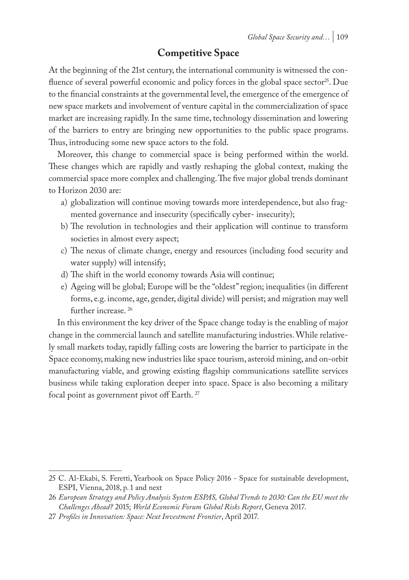# **Competitive Space**

At the beginning of the 21st century, the international community is witnessed the confluence of several powerful economic and policy forces in the global space sector<sup>25</sup>. Due to the financial constraints at the governmental level, the emergence of the emergence of new space markets and involvement of venture capital in the commercialization of space market are increasing rapidly. In the same time, technology dissemination and lowering of the barriers to entry are bringing new opportunities to the public space programs. Thus, introducing some new space actors to the fold.

Moreover, this change to commercial space is being performed within the world. These changes which are rapidly and vastly reshaping the global context, making the commercial space more complex and challenging. The five major global trends dominant to Horizon 2030 are:

- a) globalization will continue moving towards more interdependence, but also fragmented governance and insecurity (specifically cyber- insecurity);
- b) The revolution in technologies and their application will continue to transform societies in almost every aspect;
- c) The nexus of climate change, energy and resources (including food security and water supply) will intensify;
- d) The shift in the world economy towards Asia will continue;
- e) Ageing will be global; Europe will be the "oldest" region; inequalities (in different forms, e.g. income, age, gender, digital divide) will persist; and migration may well further increase.<sup>26</sup>

In this environment the key driver of the Space change today is the enabling of major change in the commercial launch and satellite manufacturing industries. While relatively small markets today, rapidly falling costs are lowering the barrier to participate in the Space economy, making new industries like space tourism, asteroid mining, and on-orbit manufacturing viable, and growing existing flagship communications satellite services business while taking exploration deeper into space. Space is also becoming a military focal point as government pivot off Earth. 27

<sup>25</sup> C. Al-Ekabi, S. Feretti, Yearbook on Space Policy 2016 - Space for sustainable development, ESPI, Vienna, 2018, p. 1 and next

<sup>26</sup> *European Strategy and Policy Analysis System ESPAS, Global Trends to 2030: Can the EU meet the Challenges Ahead?* 2015; *World Economic Forum Global Risks Report*, Geneva 2017.

<sup>27</sup> *Profiles in Innovation: Space: Next Investment Frontier*, April 2017.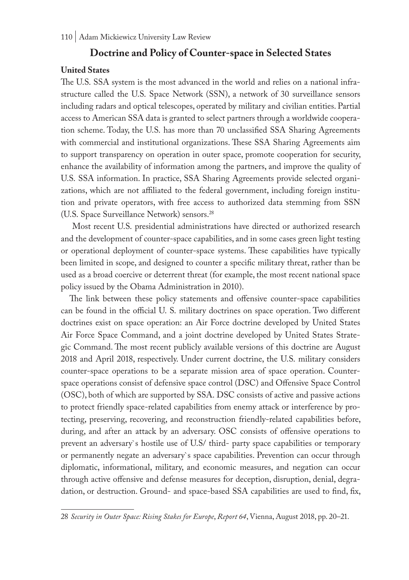### **Doctrine and Policy of Counter-space in Selected States**

#### **United States**

The U.S. SSA system is the most advanced in the world and relies on a national infrastructure called the U.S. Space Network (SSN), a network of 30 surveillance sensors including radars and optical telescopes, operated by military and civilian entities. Partial access to American SSA data is granted to select partners through a worldwide cooperation scheme. Today, the U.S. has more than 70 unclassified SSA Sharing Agreements with commercial and institutional organizations. These SSA Sharing Agreements aim to support transparency on operation in outer space, promote cooperation for security, enhance the availability of information among the partners, and improve the quality of U.S. SSA information. In practice, SSA Sharing Agreements provide selected organizations, which are not affiliated to the federal government, including foreign institution and private operators, with free access to authorized data stemming from SSN (U.S. Space Surveillance Network) sensors.28

 Most recent U.S. presidential administrations have directed or authorized research and the development of counter-space capabilities, and in some cases green light testing or operational deployment of counter-space systems. These capabilities have typically been limited in scope, and designed to counter a specific military threat, rather than be used as a broad coercive or deterrent threat (for example, the most recent national space policy issued by the Obama Administration in 2010).

The link between these policy statements and offensive counter-space capabilities can be found in the official U. S. military doctrines on space operation. Two different doctrines exist on space operation: an Air Force doctrine developed by United States Air Force Space Command, and a joint doctrine developed by United States Strategic Command. The most recent publicly available versions of this doctrine are August 2018 and April 2018, respectively. Under current doctrine, the U.S. military considers counter-space operations to be a separate mission area of space operation. Counterspace operations consist of defensive space control (DSC) and Offensive Space Control (OSC), both of which are supported by SSA. DSC consists of active and passive actions to protect friendly space-related capabilities from enemy attack or interference by protecting, preserving, recovering, and reconstruction friendly-related capabilities before, during, and after an attack by an adversary. OSC consists of offensive operations to prevent an adversary`s hostile use of U.S/ third- party space capabilities or temporary or permanently negate an adversary`s space capabilities. Prevention can occur through diplomatic, informational, military, and economic measures, and negation can occur through active offensive and defense measures for deception, disruption, denial, degradation, or destruction. Ground- and space-based SSA capabilities are used to find, fix,

<sup>28</sup> *Security in Outer Space: Rising Stakes for Europe*, *Report 64*, Vienna, August 2018, pp. 20–21.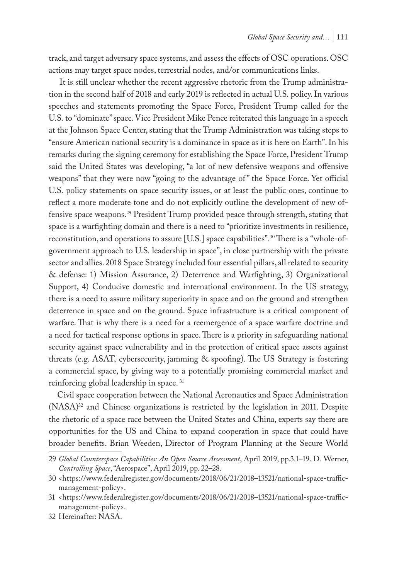track, and target adversary space systems, and assess the effects of OSC operations. OSC actions may target space nodes, terrestrial nodes, and/or communications links.

 It is still unclear whether the recent aggressive rhetoric from the Trump administration in the second half of 2018 and early 2019 is reflected in actual U.S. policy. In various speeches and statements promoting the Space Force, President Trump called for the U.S. to "dominate" space. Vice President Mike Pence reiterated this language in a speech at the Johnson Space Center, stating that the Trump Administration was taking steps to "ensure American national security is a dominance in space as it is here on Earth". In his remarks during the signing ceremony for establishing the Space Force, President Trump said the United States was developing, "a lot of new defensive weapons and offensive weapons" that they were now "going to the advantage of" the Space Force. Yet official U.S. policy statements on space security issues, or at least the public ones, continue to reflect a more moderate tone and do not explicitly outline the development of new offensive space weapons.29 President Trump provided peace through strength, stating that space is a warfighting domain and there is a need to "prioritize investments in resilience, reconstitution, and operations to assure [U.S.] space capabilities".30 There is a "whole-ofgovernment approach to U.S. leadership in space", in close partnership with the private sector and allies. 2018 Space Strategy included four essential pillars, all related to security & defense: 1) Mission Assurance, 2) Deterrence and Warfighting, 3) Organizational Support, 4) Conducive domestic and international environment. In the US strategy, there is a need to assure military superiority in space and on the ground and strengthen deterrence in space and on the ground. Space infrastructure is a critical component of warfare. That is why there is a need for a reemergence of a space warfare doctrine and a need for tactical response options in space. There is a priority in safeguarding national security against space vulnerability and in the protection of critical space assets against threats (e.g. ASAT, cybersecurity, jamming & spoofing). The US Strategy is fostering a commercial space, by giving way to a potentially promising commercial market and reinforcing global leadership in space. 31

Civil space cooperation between the National Aeronautics and Space Administration (NASA)32 and Chinese organizations is restricted by the legislation in 2011. Despite the rhetoric of a space race between the United States and China, experts say there are opportunities for the US and China to expand cooperation in space that could have broader benefits. Brian Weeden, Director of Program Planning at the Secure World

<sup>29</sup> *Global Counterspace Capabilities: An Open Source Assessment*, April 2019, pp.3.1–19. D. Werner, *Controlling Space*, "Aerospace", April 2019, pp. 22–28.

<sup>30</sup> <https://www.federalregister.gov/documents/2018/06/21/2018–13521/national-space-trafficmanagement-policy>.

<sup>31</sup> <https://www.federalregister.gov/documents/2018/06/21/2018–13521/national-space-trafficmanagement-policy>.

<sup>32</sup> Hereinafter: NASA.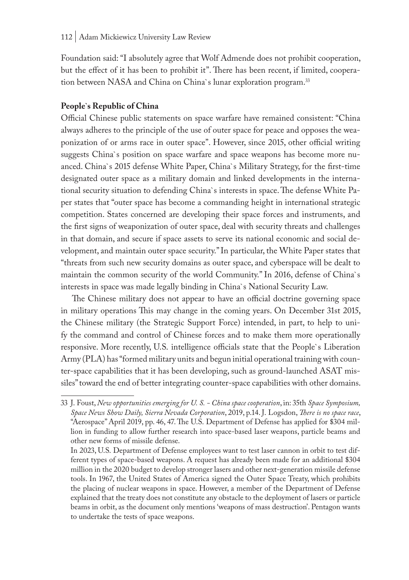Foundation said: "I absolutely agree that Wolf Admende does not prohibit cooperation, but the effect of it has been to prohibit it". There has been recent, if limited, cooperation between NASA and China on China`s lunar exploration program.<sup>33</sup>

#### **People`s Republic of China**

Official Chinese public statements on space warfare have remained consistent: "China always adheres to the principle of the use of outer space for peace and opposes the weaponization of or arms race in outer space". However, since 2015, other official writing suggests China`s position on space warfare and space weapons has become more nuanced. China`s 2015 defense White Paper, China`s Military Strategy, for the first-time designated outer space as a military domain and linked developments in the international security situation to defending China`s interests in space. The defense White Paper states that "outer space has become a commanding height in international strategic competition. States concerned are developing their space forces and instruments, and the first signs of weaponization of outer space, deal with security threats and challenges in that domain, and secure if space assets to serve its national economic and social development, and maintain outer space security." In particular, the White Paper states that "threats from such new security domains as outer space, and cyberspace will be dealt to maintain the common security of the world Community." In 2016, defense of China`s interests in space was made legally binding in China`s National Security Law.

 The Chinese military does not appear to have an official doctrine governing space in military operations This may change in the coming years. On December 31st 2015, the Chinese military (the Strategic Support Force) intended, in part, to help to unify the command and control of Chinese forces and to make them more operationally responsive. More recently, U.S. intelligence officials state that the People`s Liberation Army (PLA) has "formed military units and begun initial operational training with counter-space capabilities that it has been developing, such as ground-launched ASAT missiles" toward the end of better integrating counter-space capabilities with other domains.

<sup>33</sup> J. Foust, *New opportunities emerging for U. S. - China space cooperation*, in: 35th *Space Symposium, Space News Show Daily, Sierra Nevada Corporation*, 2019, p.14. J. Logsdon, *There is no space race*, "Aerospace" April 2019, pp. 46, 47. The U.S. Department of Defense has applied for \$304 million in funding to allow further research into space-based laser weapons, particle beams and other new forms of missile defense.

In 2023, U.S. Department of Defense employees want to test laser cannon in orbit to test different types of space-based weapons. A request has already been made for an additional \$304 million in the 2020 budget to develop stronger lasers and other next-generation missile defense tools. In 1967, the United States of America signed the Outer Space Treaty, which prohibits the placing of nuclear weapons in space. However, a member of the Department of Defense explained that the treaty does not constitute any obstacle to the deployment of lasers or particle beams in orbit, as the document only mentions 'weapons of mass destruction'. Pentagon wants to undertake the tests of space weapons.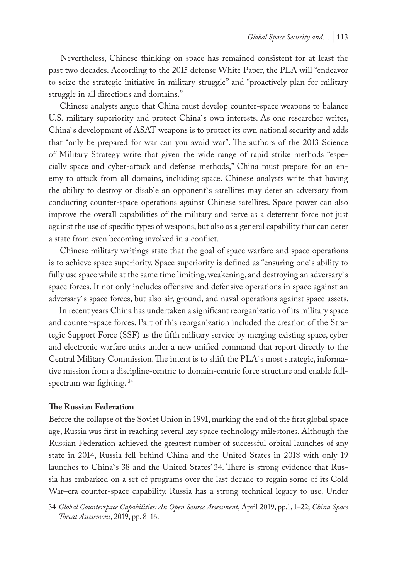Nevertheless, Chinese thinking on space has remained consistent for at least the past two decades. According to the 2015 defense White Paper, the PLA will "endeavor to seize the strategic initiative in military struggle" and "proactively plan for military struggle in all directions and domains."

 Chinese analysts argue that China must develop counter-space weapons to balance U.S. military superiority and protect China`s own interests. As one researcher writes, China`s development of ASAT weapons is to protect its own national security and adds that "only be prepared for war can you avoid war". The authors of the 2013 Science of Military Strategy write that given the wide range of rapid strike methods "especially space and cyber-attack and defense methods," China must prepare for an enemy to attack from all domains, including space. Chinese analysts write that having the ability to destroy or disable an opponent`s satellites may deter an adversary from conducting counter-space operations against Chinese satellites. Space power can also improve the overall capabilities of the military and serve as a deterrent force not just against the use of specific types of weapons, but also as a general capability that can deter a state from even becoming involved in a conflict.

 Chinese military writings state that the goal of space warfare and space operations is to achieve space superiority. Space superiority is defined as "ensuring one`s ability to fully use space while at the same time limiting, weakening, and destroying an adversary`s space forces. It not only includes offensive and defensive operations in space against an adversary`s space forces, but also air, ground, and naval operations against space assets.

 In recent years China has undertaken a significant reorganization of its military space and counter-space forces. Part of this reorganization included the creation of the Strategic Support Force (SSF) as the fifth military service by merging existing space, cyber and electronic warfare units under a new unified command that report directly to the Central Military Commission. The intent is to shift the PLA`s most strategic, informative mission from a discipline-centric to domain-centric force structure and enable fullspectrum war fighting. 34

#### **The Russian Federation**

Before the collapse of the Soviet Union in 1991, marking the end of the first global space age, Russia was first in reaching several key space technology milestones. Although the Russian Federation achieved the greatest number of successful orbital launches of any state in 2014, Russia fell behind China and the United States in 2018 with only 19 launches to China`s 38 and the United States' 34. There is strong evidence that Russia has embarked on a set of programs over the last decade to regain some of its Cold War–era counter-space capability. Russia has a strong technical legacy to use. Under

<sup>34</sup> *Global Counterspace Capabilities: An Open Source Assessment*, April 2019, pp.1, 1–22; *China Space Threat Assessment*, 2019, pp. 8–16.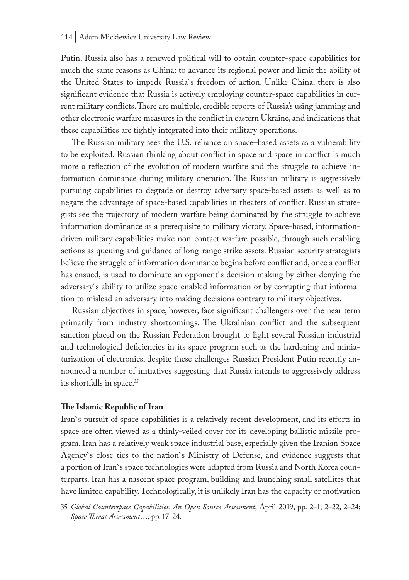Putin, Russia also has a renewed political will to obtain counter-space capabilities for much the same reasons as China: to advance its regional power and limit the ability of the United States to impede Russia`s freedom of action. Unlike China, there is also significant evidence that Russia is actively employing counter-space capabilities in current military conflicts. There are multiple, credible reports of Russia's using jamming and other electronic warfare measures in the conflict in eastern Ukraine, and indications that these capabilities are tightly integrated into their military operations.

 The Russian military sees the U.S. reliance on space–based assets as a vulnerability to be exploited. Russian thinking about conflict in space and space in conflict is much more a reflection of the evolution of modern warfare and the struggle to achieve information dominance during military operation. The Russian military is aggressively pursuing capabilities to degrade or destroy adversary space-based assets as well as to negate the advantage of space-based capabilities in theaters of conflict. Russian strategists see the trajectory of modern warfare being dominated by the struggle to achieve information dominance as a prerequisite to military victory. Space-based, informationdriven military capabilities make non-contact warfare possible, through such enabling actions as queuing and guidance of long-range strike assets. Russian security strategists believe the struggle of information dominance begins before conflict and, once a conflict has ensued, is used to dominate an opponent`s decision making by either denying the adversary`s ability to utilize space-enabled information or by corrupting that information to mislead an adversary into making decisions contrary to military objectives.

 Russian objectives in space, however, face significant challengers over the near term primarily from industry shortcomings. The Ukrainian conflict and the subsequent sanction placed on the Russian Federation brought to light several Russian industrial and technological deficiencies in its space program such as the hardening and miniaturization of electronics, despite these challenges Russian President Putin recently announced a number of initiatives suggesting that Russia intends to aggressively address its shortfalls in space.<sup>35</sup>

#### **The Islamic Republic of Iran**

Iran`s pursuit of space capabilities is a relatively recent development, and its efforts in space are often viewed as a thinly-veiled cover for its developing ballistic missile program. Iran has a relatively weak space industrial base, especially given the Iranian Space Agency`s close ties to the nation`s Ministry of Defense, and evidence suggests that a portion of Iran`s space technologies were adapted from Russia and North Korea counterparts. Iran has a nascent space program, building and launching small satellites that have limited capability. Technologically, it is unlikely Iran has the capacity or motivation

<sup>35</sup> *Global Counterspace Capabilities: An Open Source Assessment*, April 2019, pp. 2–1, 2–22, 2–24; *Space Threat Assessment*…, pp. 17–24.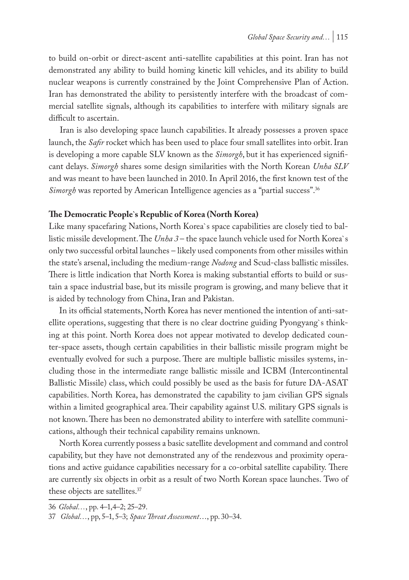to build on-orbit or direct-ascent anti-satellite capabilities at this point. Iran has not demonstrated any ability to build homing kinetic kill vehicles, and its ability to build nuclear weapons is currently constrained by the Joint Comprehensive Plan of Action. Iran has demonstrated the ability to persistently interfere with the broadcast of commercial satellite signals, although its capabilities to interfere with military signals are difficult to ascertain.

 Iran is also developing space launch capabilities. It already possesses a proven space launch, the *Safir* rocket which has been used to place four small satellites into orbit. Iran is developing a more capable SLV known as the *Simorgh*, but it has experienced significant delays. *Simorgh* shares some design similarities with the North Korean *Unha SLV* and was meant to have been launched in 2010. In April 2016, the first known test of the *Simorgh* was reported by American Intelligence agencies as a "partial success".36

#### **The Democratic People`s Republic of Korea (North Korea)**

Like many spacefaring Nations, North Korea`s space capabilities are closely tied to ballistic missile development. The *Unha 3* – the space launch vehicle used for North Korea`s only two successful orbital launches – likely used components from other missiles within the state's arsenal, including the medium-range *Nodong* and Scud-class ballistic missiles. There is little indication that North Korea is making substantial efforts to build or sustain a space industrial base, but its missile program is growing, and many believe that it is aided by technology from China, Iran and Pakistan.

 In its official statements, North Korea has never mentioned the intention of anti-satellite operations, suggesting that there is no clear doctrine guiding Pyongyang`s thinking at this point. North Korea does not appear motivated to develop dedicated counter-space assets, though certain capabilities in their ballistic missile program might be eventually evolved for such a purpose. There are multiple ballistic missiles systems, including those in the intermediate range ballistic missile and ICBM (Intercontinental Ballistic Missile) class, which could possibly be used as the basis for future DA-ASAT capabilities. North Korea, has demonstrated the capability to jam civilian GPS signals within a limited geographical area. Their capability against U.S. military GPS signals is not known. There has been no demonstrated ability to interfere with satellite communications, although their technical capability remains unknown.

 North Korea currently possess a basic satellite development and command and control capability, but they have not demonstrated any of the rendezvous and proximity operations and active guidance capabilities necessary for a co-orbital satellite capability. There are currently six objects in orbit as a result of two North Korean space launches. Two of these objects are satellites.37

<sup>36</sup> *Global…*, pp. 4–1,4–2; 25–29.

<sup>37</sup> *Global…*, pp, 5–1, 5–3; *Space Threat Assessment*…, pp. 30–34.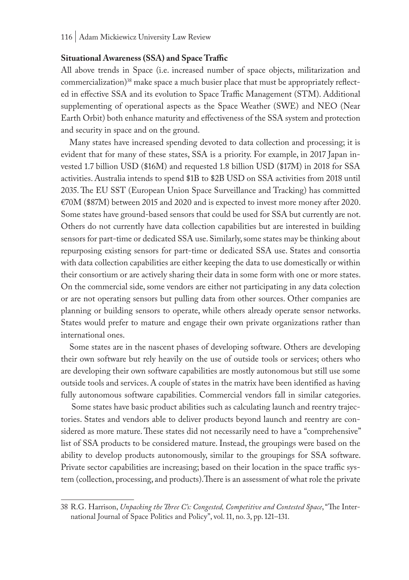#### **Situational Awareness (SSA) and Space Traffic**

All above trends in Space (i.e. increased number of space objects, militarization and commercialization)<sup>38</sup> make space a much busier place that must be appropriately reflected in effective SSA and its evolution to Space Traffic Management (STM). Additional supplementing of operational aspects as the Space Weather (SWE) and NEO (Near Earth Orbit) both enhance maturity and effectiveness of the SSA system and protection and security in space and on the ground.

Many states have increased spending devoted to data collection and processing; it is evident that for many of these states, SSA is a priority. For example, in 2017 Japan invested 1.7 billion USD (\$16M) and requested 1.8 billion USD (\$17M) in 2018 for SSA activities. Australia intends to spend \$1B to \$2B USD on SSA activities from 2018 until 2035. The EU SST (European Union Space Surveillance and Tracking) has committed €70M (\$87M) between 2015 and 2020 and is expected to invest more money after 2020. Some states have ground-based sensors that could be used for SSA but currently are not. Others do not currently have data collection capabilities but are interested in building sensors for part-time or dedicated SSA use. Similarly, some states may be thinking about repurposing existing sensors for part-time or dedicated SSA use. States and consortia with data collection capabilities are either keeping the data to use domestically or within their consortium or are actively sharing their data in some form with one or more states. On the commercial side, some vendors are either not participating in any data colection or are not operating sensors but pulling data from other sources. Other companies are planning or building sensors to operate, while others already operate sensor networks. States would prefer to mature and engage their own private organizations rather than international ones.

Some states are in the nascent phases of developing software. Others are developing their own software but rely heavily on the use of outside tools or services; others who are developing their own software capabilities are mostly autonomous but still use some outside tools and services. A couple of states in the matrix have been identified as having fully autonomous software capabilities. Commercial vendors fall in similar categories.

 Some states have basic product abilities such as calculating launch and reentry trajectories. States and vendors able to deliver products beyond launch and reentry are considered as more mature. These states did not necessarily need to have a "comprehensive" list of SSA products to be considered mature. Instead, the groupings were based on the ability to develop products autonomously, similar to the groupings for SSA software. Private sector capabilities are increasing; based on their location in the space traffic system (collection, processing, and products).There is an assessment of what role the private

<sup>38</sup> R.G. Harrison, *Unpacking the Three C's: Congested, Competitive and Contested Space*, "The International Journal of Space Politics and Policy", vol. 11, no. 3, pp. 121–131.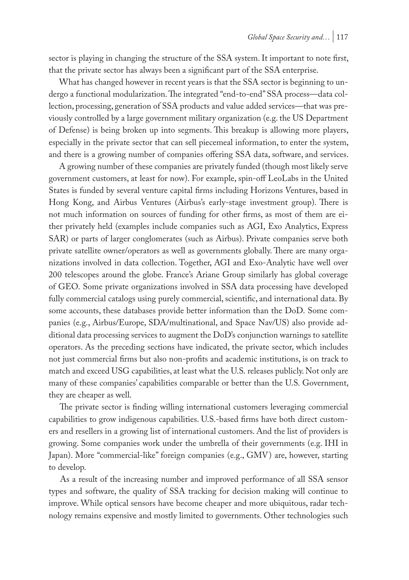sector is playing in changing the structure of the SSA system. It important to note first, that the private sector has always been a significant part of the SSA enterprise.

 What has changed however in recent years is that the SSA sector is beginning to undergo a functional modularization. The integrated "end-to-end" SSA process—data collection, processing, generation of SSA products and value added services—that was previously controlled by a large government military organization (e.g. the US Department of Defense) is being broken up into segments. This breakup is allowing more players, especially in the private sector that can sell piecemeal information, to enter the system, and there is a growing number of companies offering SSA data, software, and services.

 A growing number of these companies are privately funded (though most likely serve government customers, at least for now). For example, spin-off LeoLabs in the United States is funded by several venture capital firms including Horizons Ventures, based in Hong Kong, and Airbus Ventures (Airbus's early-stage investment group). There is not much information on sources of funding for other firms, as most of them are either privately held (examples include companies such as AGI, Exo Analytics, Express SAR) or parts of larger conglomerates (such as Airbus). Private companies serve both private satellite owner/operators as well as governments globally. There are many organizations involved in data collection. Together, AGI and Exo-Analytic have well over 200 telescopes around the globe. France's Ariane Group similarly has global coverage of GEO. Some private organizations involved in SSA data processing have developed fully commercial catalogs using purely commercial, scientific, and international data. By some accounts, these databases provide better information than the DoD. Some companies (e.g., Airbus/Europe, SDA/multinational, and Space Nav/US) also provide additional data processing services to augment the DoD's conjunction warnings to satellite operators. As the preceding sections have indicated, the private sector, which includes not just commercial firms but also non-profits and academic institutions, is on track to match and exceed USG capabilities, at least what the U.S. releases publicly. Not only are many of these companies' capabilities comparable or better than the U.S. Government, they are cheaper as well.

 The private sector is finding willing international customers leveraging commercial capabilities to grow indigenous capabilities. U.S.-based firms have both direct customers and resellers in a growing list of international customers. And the list of providers is growing. Some companies work under the umbrella of their governments (e.g. IHI in Japan). More "commercial-like" foreign companies (e.g., GMV) are, however, starting to develop.

 As a result of the increasing number and improved performance of all SSA sensor types and software, the quality of SSA tracking for decision making will continue to improve. While optical sensors have become cheaper and more ubiquitous, radar technology remains expensive and mostly limited to governments. Other technologies such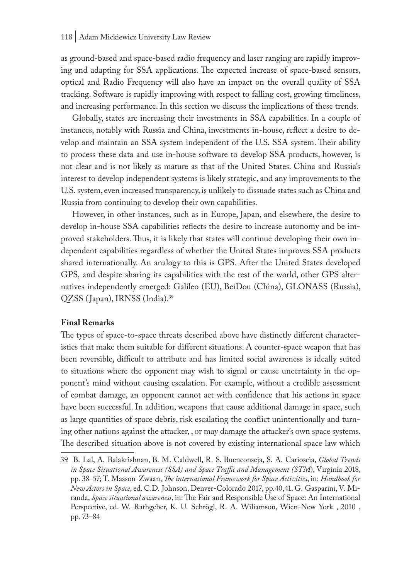as ground-based and space-based radio frequency and laser ranging are rapidly improving and adapting for SSA applications. The expected increase of space-based sensors, optical and Radio Frequency will also have an impact on the overall quality of SSA tracking. Software is rapidly improving with respect to falling cost, growing timeliness, and increasing performance. In this section we discuss the implications of these trends.

 Globally, states are increasing their investments in SSA capabilities. In a couple of instances, notably with Russia and China, investments in-house, reflect a desire to develop and maintain an SSA system independent of the U.S. SSA system. Their ability to process these data and use in-house software to develop SSA products, however, is not clear and is not likely as mature as that of the United States. China and Russia's interest to develop independent systems is likely strategic, and any improvements to the U.S. system, even increased transparency, is unlikely to dissuade states such as China and Russia from continuing to develop their own capabilities.

 However, in other instances, such as in Europe, Japan, and elsewhere, the desire to develop in-house SSA capabilities reflects the desire to increase autonomy and be improved stakeholders. Thus, it is likely that states will continue developing their own independent capabilities regardless of whether the United States improves SSA products shared internationally. An analogy to this is GPS. After the United States developed GPS, and despite sharing its capabilities with the rest of the world, other GPS alternatives independently emerged: Galileo (EU), BeiDou (China), GLONASS (Russia), QZSS ( Japan), IRNSS (India).39

#### **Final Remarks**

The types of space-to-space threats described above have distinctly different characteristics that make them suitable for different situations. A counter-space weapon that has been reversible, difficult to attribute and has limited social awareness is ideally suited to situations where the opponent may wish to signal or cause uncertainty in the opponent's mind without causing escalation. For example, without a credible assessment of combat damage, an opponent cannot act with confidence that his actions in space have been successful. In addition, weapons that cause additional damage in space, such as large quantities of space debris, risk escalating the conflict unintentionally and turning other nations against the attacker, , or may damage the attacker's own space systems. The described situation above is not covered by existing international space law which

<sup>39</sup> B. Lal, A. Balakrishnan, B. M. Caldwell, R. S. Buenconseja, S. A. Carioscia, *Global Trends in Space Situational Awareness (SSA) and Space Traffic and Management (STM*), Virginia 2018, pp. 38–57; T. Masson-Zwaan, *The international Framework for Space Activities*, in: *Handbook for New Actors in Space*, ed. C.D. Johnson, Denver-Colorado 2017, pp.40,41. G. Gasparini, V. Miranda, *Space situational awareness*, in: The Fair and Responsible Use of Space: An International Perspective, ed. W. Rathgeber, K. U. Schrögl, R. A. Wiliamson, Wien-New York , 2010 , pp. 73–84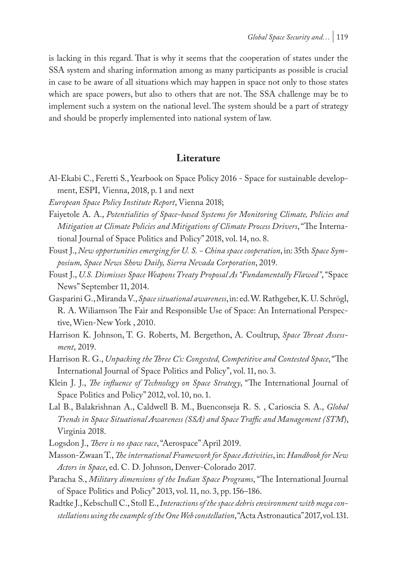is lacking in this regard. That is why it seems that the cooperation of states under the SSA system and sharing information among as many participants as possible is crucial in case to be aware of all situations which may happen in space not only to those states which are space powers, but also to others that are not. The SSA challenge may be to implement such a system on the national level. The system should be a part of strategy and should be properly implemented into national system of law.

#### **Literature**

- Al-Ekabi C., Feretti S., Yearbook on Space Policy 2016 Space for sustainable development, ESPI, Vienna, 2018, p. 1 and next
- *European Space Policy Institute Report*, Vienna 2018;
- Faiyetole A. A., *Potentialities of Space-based Systems for Monitoring Climate, Policies and Mitigation at Climate Policies and Mitigations of Climate Process Drivers*, "The International Journal of Space Politics and Policy" 2018, vol. 14, no. 8.
- Foust J., *New opportunities emerging for U. S. China space cooperation*, in: 35th *Space Symposium, Space News Show Daily, Sierra Nevada Corporation*, 2019.
- Foust J., *U.S. Dismisses Space Weapons Treaty Proposal As "Fundamentally Flawed"*, "Space News" September 11, 2014.
- Gasparini G., Miranda V., *Space situational awareness*, in: ed. W. Rathgeber, K. U. Schrögl, R. A. Wiliamson The Fair and Responsible Use of Space: An International Perspective, Wien-New York , 2010.
- Harrison K. Johnson, T. G. Roberts, M. Bergethon, A. Coultrup, *Space Threat Assessment*, 2019.
- Harrison R. G., *Unpacking the Three C's: Congested, Competitive and Contested Space*, "The International Journal of Space Politics and Policy", vol. 11, no. 3.
- Klein J. J., *The influence of Technology on Space Strategy*, "The International Journal of Space Politics and Policy" 2012, vol. 10, no. 1.
- Lal B., Balakrishnan A., Caldwell B. M., Buenconseja R. S. , Carioscia S. A., *Global Trends in Space Situational Awareness (SSA) and Space Traffic and Management (STM*), Virginia 2018.
- Logsdon J., *There is no space race*, "Aerospace" April 2019.
- Masson-Zwaan T., *The international Framework for Space Activities*, in: *Handbook for New Actors in Space*, ed. C. D. Johnson, Denver-Colorado 2017.
- Paracha S., *Military dimensions of the Indian Space Programs*, "The International Journal of Space Politics and Policy" 2013, vol. 11, no. 3, pp. 156–186.
- Radtke J., Kebschull C., Stoll E., *Interactions of the space debris environment with mega constellations using the example of the One Web constellation*, "Acta Astronautica" 2017, vol. 131.